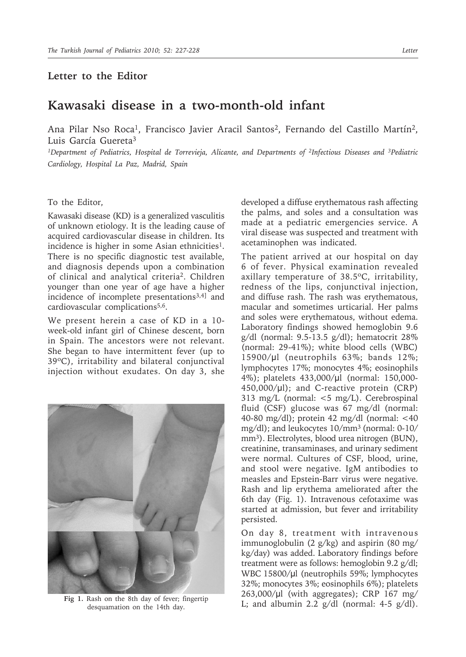## **Letter to the Editor**

## **Kawasaki disease in a two-month-old infant**

Ana Pilar Nso Roca<sup>1</sup>, Francisco Javier Aracil Santos<sup>2</sup>, Fernando del Castillo Martín<sup>2</sup>, Luis García Guereta3

*1Department of Pediatrics, Hospital de Torrevieja, Alicante, and Departments of 2Infectious Diseases and 3Pediatric Cardiology, Hospital La Paz, Madrid, Spain*

## To the Editor,

Kawasaki disease (KD) is a generalized vasculitis of unknown etiology. It is the leading cause of acquired cardiovascular disease in children. Its incidence is higher in some Asian ethnicities<sup>1</sup>. There is no specific diagnostic test available, and diagnosis depends upon a combination of clinical and analytical criteria2. Children younger than one year of age have a higher incidence of incomplete presentations3,4] and cardiovascular complications<sup>5,6</sup>.

We present herein a case of KD in a 10 week-old infant girl of Chinese descent, born in Spain. The ancestors were not relevant. She began to have intermittent fever (up to 39ºC), irritability and bilateral conjunctival injection without exudates. On day 3, she



desquamation on the 14th day.

developed a diffuse erythematous rash affecting the palms, and soles and a consultation was made at a pediatric emergencies service. A viral disease was suspected and treatment with acetaminophen was indicated.

The patient arrived at our hospital on day 6 of fever. Physical examination revealed axillary temperature of 38.5ºC, irritability, redness of the lips, conjunctival injection, and diffuse rash. The rash was erythematous, macular and sometimes urticarial. Her palms and soles were erythematous, without edema. Laboratory findings showed hemoglobin 9.6 g/dl (normal: 9.5-13.5 g/dl); hematocrit 28% (normal: 29-41%); white blood cells (WBC) 15900/μl (neutrophils 63%; bands 12%; lymphocytes 17%; monocytes 4%; eosinophils 4%); platelets 433,000/μl (normal: 150,000- 450,000/μl); and C-reactive protein (CRP) 313 mg/L (normal: <5 mg/L). Cerebrospinal fluid (CSF) glucose was 67 mg/dl (normal: 40-80 mg/dl); protein 42 mg/dl (normal: <40 mg/dl); and leukocytes 10/mm3 (normal: 0-10/ mm<sup>3</sup>). Electrolytes, blood urea nitrogen (BUN), creatinine, transaminases, and urinary sediment were normal. Cultures of CSF, blood, urine, and stool were negative. IgM antibodies to measles and Epstein-Barr virus were negative. Rash and lip erythema ameliorated after the 6th day (Fig. 1). Intravenous cefotaxime was started at admission, but fever and irritability persisted.

On day 8, treatment with intravenous immunoglobulin (2 g/kg) and aspirin (80 mg/ kg/day) was added. Laboratory findings before treatment were as follows: hemoglobin 9.2 g/dl; WBC 15800/μl (neutrophils 59%; lymphocytes 32%; monocytes 3%; eosinophils 6%); platelets 263,000/μl (with aggregates); CRP 167 mg/ Fig 1. Rash on the 8th day of fever; fingertip<br>
L; and albumin 2.2  $g/dl$  (normal: 4-5  $g/dl$ ).